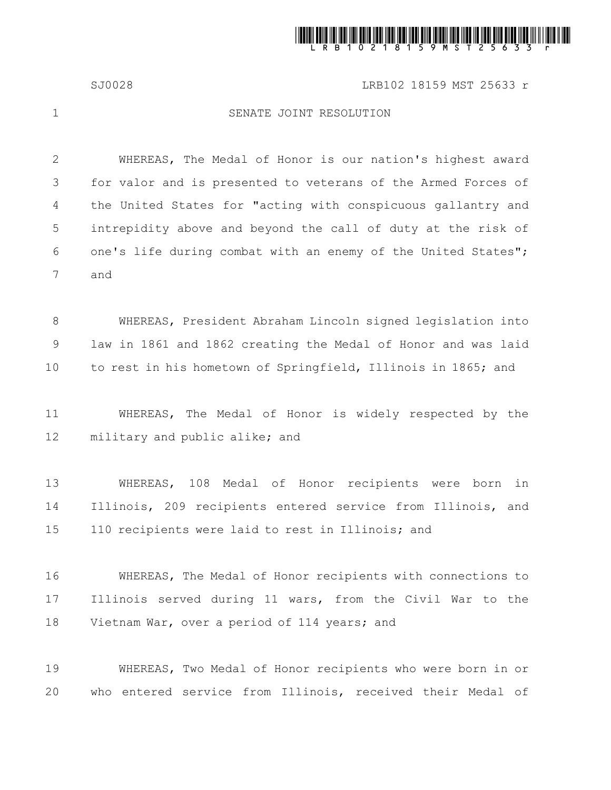

## SJ0028 LRB102 18159 MST 25633 r

1

## SENATE JOINT RESOLUTION

WHEREAS, The Medal of Honor is our nation's highest award for valor and is presented to veterans of the Armed Forces of the United States for "acting with conspicuous gallantry and intrepidity above and beyond the call of duty at the risk of one's life during combat with an enemy of the United States"; and 2 3 4 5 6 7

WHEREAS, President Abraham Lincoln signed legislation into law in 1861 and 1862 creating the Medal of Honor and was laid to rest in his hometown of Springfield, Illinois in 1865; and 8 9 10

WHEREAS, The Medal of Honor is widely respected by the military and public alike; and 11 12

WHEREAS, 108 Medal of Honor recipients were born in Illinois, 209 recipients entered service from Illinois, and 110 recipients were laid to rest in Illinois; and 13 14 15

WHEREAS, The Medal of Honor recipients with connections to Illinois served during 11 wars, from the Civil War to the Vietnam War, over a period of 114 years; and 16 17 18

WHEREAS, Two Medal of Honor recipients who were born in or who entered service from Illinois, received their Medal of 19 20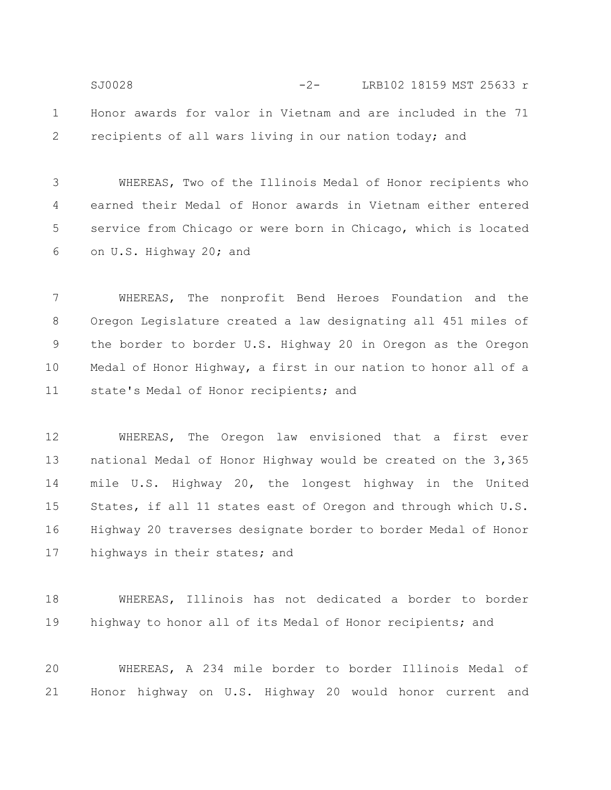Honor awards for valor in Vietnam and are included in the 71 recipients of all wars living in our nation today; and 1 2 SJ0028 -2- LRB102 18159 MST 25633 r

WHEREAS, Two of the Illinois Medal of Honor recipients who earned their Medal of Honor awards in Vietnam either entered service from Chicago or were born in Chicago, which is located on U.S. Highway 20; and 3 4 5 6

WHEREAS, The nonprofit Bend Heroes Foundation and the Oregon Legislature created a law designating all 451 miles of the border to border U.S. Highway 20 in Oregon as the Oregon Medal of Honor Highway, a first in our nation to honor all of a state's Medal of Honor recipients; and 7 8 9 10 11

WHEREAS, The Oregon law envisioned that a first ever national Medal of Honor Highway would be created on the 3,365 mile U.S. Highway 20, the longest highway in the United States, if all 11 states east of Oregon and through which U.S. Highway 20 traverses designate border to border Medal of Honor highways in their states; and 12 13 14 15 16 17

WHEREAS, Illinois has not dedicated a border to border highway to honor all of its Medal of Honor recipients; and 18 19

WHEREAS, A 234 mile border to border Illinois Medal of Honor highway on U.S. Highway 20 would honor current and 20 21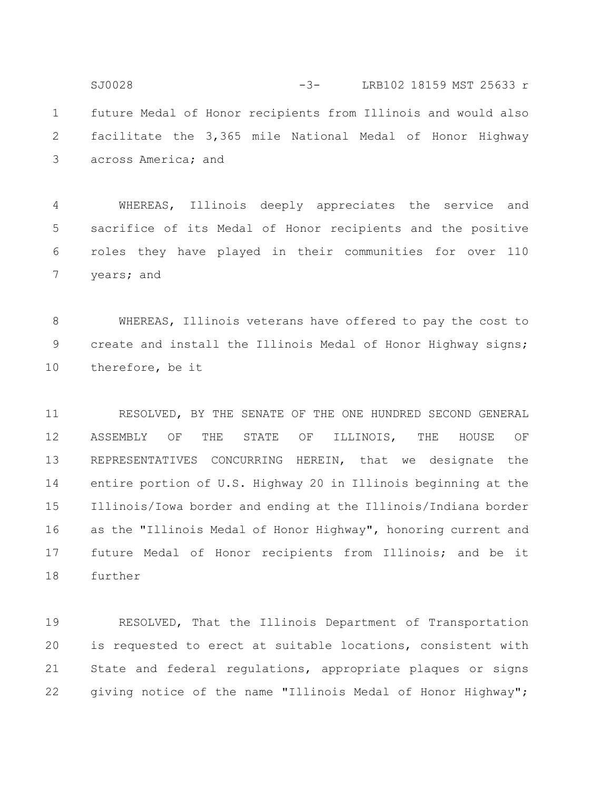future Medal of Honor recipients from Illinois and would also facilitate the 3,365 mile National Medal of Honor Highway across America; and 1 2 3 SJ0028 -3- LRB102 18159 MST 25633 r

WHEREAS, Illinois deeply appreciates the service and sacrifice of its Medal of Honor recipients and the positive roles they have played in their communities for over 110 years; and 4 5 6 7

WHEREAS, Illinois veterans have offered to pay the cost to create and install the Illinois Medal of Honor Highway signs; therefore, be it 8 9 10

RESOLVED, BY THE SENATE OF THE ONE HUNDRED SECOND GENERAL ASSEMBLY OF THE STATE OF ILLINOIS, THE HOUSE OF REPRESENTATIVES CONCURRING HEREIN, that we designate the entire portion of U.S. Highway 20 in Illinois beginning at the Illinois/Iowa border and ending at the Illinois/Indiana border as the "Illinois Medal of Honor Highway", honoring current and future Medal of Honor recipients from Illinois; and be it further 11 12 13 14 15 16 17 18

RESOLVED, That the Illinois Department of Transportation is requested to erect at suitable locations, consistent with State and federal regulations, appropriate plaques or signs giving notice of the name "Illinois Medal of Honor Highway"; 19 20 21 22